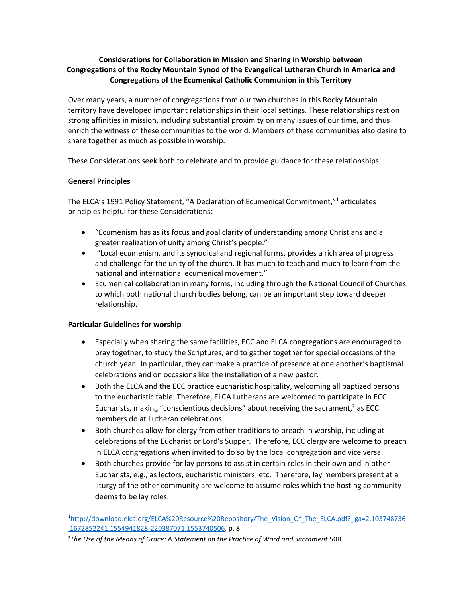## **Considerations for Collaboration in Mission and Sharing in Worship between Congregations of the Rocky Mountain Synod of the Evangelical Lutheran Church in America and Congregations of the Ecumenical Catholic Communion in this Territory**

Over many years, a number of congregations from our two churches in this Rocky Mountain territory have developed important relationships in their local settings. These relationships rest on strong affinities in mission, including substantial proximity on many issues of our time, and thus enrich the witness of these communities to the world. Members of these communities also desire to share together as much as possible in worship.

These Considerations seek both to celebrate and to provide guidance for these relationships.

## **General Principles**

The ELCA's 1991 Policy Statement, "A Declaration of Ecumenical Commitment," <sup>1</sup> articulates principles helpful for these Considerations:

- "Ecumenism has as its focus and goal clarity of understanding among Christians and a greater realization of unity among Christ's people."
- "Local ecumenism, and its synodical and regional forms, provides a rich area of progress and challenge for the unity of the church. It has much to teach and much to learn from the national and international ecumenical movement."
- Ecumenical collaboration in many forms, including through the National Council of Churches to which both national church bodies belong, can be an important step toward deeper relationship.

## **Particular Guidelines for worship**

- Especially when sharing the same facilities, ECC and ELCA congregations are encouraged to pray together, to study the Scriptures, and to gather together for special occasions of the church year. In particular, they can make a practice of presence at one another's baptismal celebrations and on occasions like the installation of a new pastor.
- Both the ELCA and the ECC practice eucharistic hospitality, welcoming all baptized persons to the eucharistic table. Therefore, ELCA Lutherans are welcomed to participate in ECC Eucharists, making "conscientious decisions" about receiving the sacrament, $^2$  as ECC members do at Lutheran celebrations.
- Both churches allow for clergy from other traditions to preach in worship, including at celebrations of the Eucharist or Lord's Supper. Therefore, ECC clergy are welcome to preach in ELCA congregations when invited to do so by the local congregation and vice versa.
- Both churches provide for lay persons to assist in certain roles in their own and in other Eucharists, e.g., as lectors, eucharistic ministers, etc. Therefore, lay members present at a liturgy of the other community are welcome to assume roles which the hosting community deems to be lay roles.

<sup>&</sup>lt;sup>1</sup>[http://download.elca.org/ELCA%20Resource%20Repository/The\\_Vision\\_Of\\_The\\_ELCA.pdf?\\_ga=2.103748736](http://download.elca.org/ELCA%20Resource%20Repository/The_Vision_Of_The_ELCA.pdf?_ga=2.103748736.1672852241.1554941828-220387071.1553740506) [.1672852241.1554941828-220387071.1553740506,](http://download.elca.org/ELCA%20Resource%20Repository/The_Vision_Of_The_ELCA.pdf?_ga=2.103748736.1672852241.1554941828-220387071.1553740506) p. 8.

<sup>2</sup>*The Use of the Means of Grace: A Statement on the Practice of Word and Sacrament* 50B.